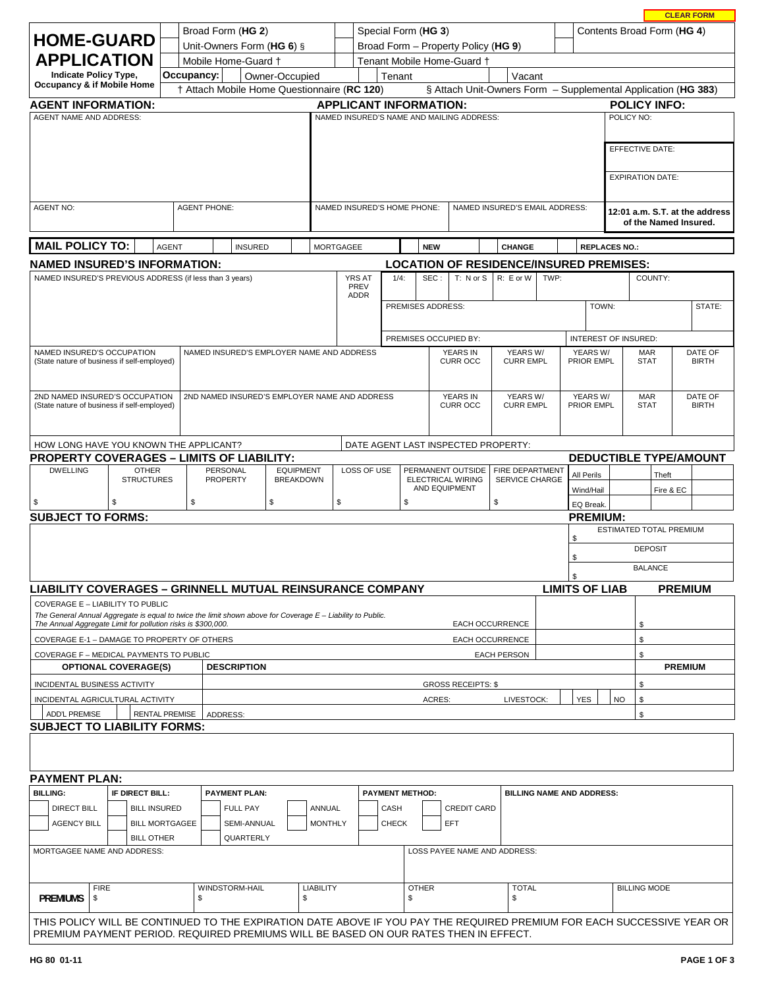| Broad Form (HG 2)<br><b>HOME-GUARD</b>                                                                                                                                                                                         |                                                                                                                        |                                   |                       |  |                                               |    |                                      | Special Form (HG 3)                                                                                                                    |                     |                 |                        |                   |                                                |                        | Contents Broad Form (HG 4)                      |                                                         |                             |           |                           |                         |                               |
|--------------------------------------------------------------------------------------------------------------------------------------------------------------------------------------------------------------------------------|------------------------------------------------------------------------------------------------------------------------|-----------------------------------|-----------------------|--|-----------------------------------------------|----|--------------------------------------|----------------------------------------------------------------------------------------------------------------------------------------|---------------------|-----------------|------------------------|-------------------|------------------------------------------------|------------------------|-------------------------------------------------|---------------------------------------------------------|-----------------------------|-----------|---------------------------|-------------------------|-------------------------------|
|                                                                                                                                                                                                                                | Unit-Owners Form (HG 6) §<br>Broad Form - Property Policy (HG 9)                                                       |                                   |                       |  |                                               |    |                                      |                                                                                                                                        |                     |                 |                        |                   |                                                |                        |                                                 |                                                         |                             |           |                           |                         |                               |
|                                                                                                                                                                                                                                | <b>APPLICATION</b><br>Mobile Home-Guard +<br>Tenant Mobile Home-Guard +                                                |                                   |                       |  |                                               |    |                                      |                                                                                                                                        |                     |                 |                        |                   |                                                |                        |                                                 |                                                         |                             |           |                           |                         |                               |
| Occupancy:<br><b>Indicate Policy Type,</b><br>Owner-Occupied<br>Tenant<br>Vacant<br>Occupancy & if Mobile Home<br>† Attach Mobile Home Questionnaire (RC 120)<br>§ Attach Unit-Owners Form - Supplemental Application (HG 383) |                                                                                                                        |                                   |                       |  |                                               |    |                                      |                                                                                                                                        |                     |                 |                        |                   |                                                |                        |                                                 |                                                         |                             |           |                           |                         |                               |
| <b>APPLICANT INFORMATION:</b><br><b>POLICY INFO:</b>                                                                                                                                                                           |                                                                                                                        |                                   |                       |  |                                               |    |                                      |                                                                                                                                        |                     |                 |                        |                   |                                                |                        |                                                 |                                                         |                             |           |                           |                         |                               |
| <b>AGENT INFORMATION:</b><br><b>AGENT NAME AND ADDRESS:</b><br>NAMED INSURED'S NAME AND MAILING ADDRESS:<br>POLICY NO:                                                                                                         |                                                                                                                        |                                   |                       |  |                                               |    |                                      |                                                                                                                                        |                     |                 |                        |                   |                                                |                        |                                                 |                                                         |                             |           |                           |                         |                               |
|                                                                                                                                                                                                                                |                                                                                                                        |                                   |                       |  |                                               |    |                                      |                                                                                                                                        |                     |                 |                        |                   |                                                |                        |                                                 |                                                         |                             |           |                           |                         |                               |
|                                                                                                                                                                                                                                |                                                                                                                        |                                   |                       |  |                                               |    |                                      |                                                                                                                                        |                     | EFFECTIVE DATE: |                        |                   |                                                |                        |                                                 |                                                         |                             |           |                           |                         |                               |
|                                                                                                                                                                                                                                | <b>EXPIRATION DATE:</b>                                                                                                |                                   |                       |  |                                               |    |                                      |                                                                                                                                        |                     |                 |                        |                   |                                                |                        |                                                 |                                                         |                             |           |                           |                         |                               |
|                                                                                                                                                                                                                                |                                                                                                                        |                                   |                       |  |                                               |    |                                      |                                                                                                                                        |                     |                 |                        |                   |                                                |                        |                                                 |                                                         |                             |           |                           |                         |                               |
| <b>AGENT NO:</b><br><b>AGENT PHONE:</b>                                                                                                                                                                                        |                                                                                                                        |                                   |                       |  |                                               |    |                                      | NAMED INSURED'S HOME PHONE:<br>NAMED INSURED'S EMAIL ADDRESS:                                                                          |                     |                 |                        |                   |                                                |                        |                                                 | 12:01 a.m. S.T. at the address<br>of the Named Insured. |                             |           |                           |                         |                               |
| <b>MAIL POLICY TO:</b>                                                                                                                                                                                                         |                                                                                                                        |                                   | <b>AGENT</b>          |  | <b>INSURED</b>                                |    |                                      | <b>CHANGE</b><br><b>MORTGAGEE</b><br><b>NEW</b>                                                                                        |                     |                 |                        |                   |                                                |                        |                                                 | <b>REPLACES NO.:</b>                                    |                             |           |                           |                         |                               |
| <b>NAMED INSURED'S INFORMATION:</b>                                                                                                                                                                                            |                                                                                                                        |                                   |                       |  |                                               |    |                                      |                                                                                                                                        |                     |                 |                        |                   | <b>LOCATION OF RESIDENCE/INSURED PREMISES:</b> |                        |                                                 |                                                         |                             |           |                           |                         |                               |
| NAMED INSURED'S PREVIOUS ADDRESS (if less than 3 years)                                                                                                                                                                        |                                                                                                                        |                                   |                       |  |                                               |    |                                      |                                                                                                                                        | <b>YRS AT</b>       | $1/4$ :         |                        | SEC:              | $T: N$ or $S$                                  | R: E or W              | TWP:                                            |                                                         |                             |           | COUNTY:                   |                         |                               |
|                                                                                                                                                                                                                                |                                                                                                                        |                                   |                       |  |                                               |    |                                      |                                                                                                                                        | PREV<br><b>ADDR</b> |                 |                        |                   |                                                |                        |                                                 |                                                         |                             |           |                           |                         |                               |
|                                                                                                                                                                                                                                |                                                                                                                        |                                   |                       |  |                                               |    |                                      |                                                                                                                                        |                     |                 |                        | PREMISES ADDRESS: |                                                |                        |                                                 |                                                         | TOWN:                       |           |                           |                         | STATE:                        |
|                                                                                                                                                                                                                                |                                                                                                                        |                                   |                       |  |                                               |    |                                      |                                                                                                                                        |                     |                 |                        |                   |                                                |                        |                                                 |                                                         |                             |           |                           |                         |                               |
|                                                                                                                                                                                                                                |                                                                                                                        |                                   |                       |  |                                               |    |                                      |                                                                                                                                        |                     |                 |                        |                   | PREMISES OCCUPIED BY:                          |                        |                                                 |                                                         | <b>INTEREST OF INSURED:</b> |           |                           |                         |                               |
| NAMED INSURED'S OCCUPATION                                                                                                                                                                                                     |                                                                                                                        |                                   |                       |  | NAMED INSURED'S EMPLOYER NAME AND ADDRESS     |    |                                      |                                                                                                                                        |                     |                 |                        |                   | <b>YEARS IN</b>                                |                        | YEARS W/                                        |                                                         | YEARS W/                    |           | <b>MAR</b>                |                         | DATE OF                       |
| (State nature of business if self-employed)                                                                                                                                                                                    |                                                                                                                        |                                   |                       |  |                                               |    |                                      |                                                                                                                                        |                     |                 |                        |                   | <b>CURR OCC</b>                                |                        | <b>CURR EMPL</b>                                |                                                         | <b>PRIOR EMPL</b>           |           | <b>STAT</b>               |                         | <b>BIRTH</b>                  |
|                                                                                                                                                                                                                                |                                                                                                                        |                                   |                       |  |                                               |    |                                      |                                                                                                                                        |                     |                 |                        |                   |                                                |                        |                                                 |                                                         |                             |           |                           |                         |                               |
| 2ND NAMED INSURED'S OCCUPATION<br>(State nature of business if self-employed)                                                                                                                                                  |                                                                                                                        |                                   |                       |  | 2ND NAMED INSURED'S EMPLOYER NAME AND ADDRESS |    |                                      |                                                                                                                                        |                     |                 |                        |                   | <b>YEARS IN</b><br><b>CURR OCC</b>             |                        | YEARS W/<br><b>CURR EMPL</b>                    |                                                         | YEARS W/<br>PRIOR EMPL      |           | <b>MAR</b><br><b>STAT</b> |                         | DATE OF<br><b>BIRTH</b>       |
|                                                                                                                                                                                                                                |                                                                                                                        |                                   |                       |  |                                               |    |                                      |                                                                                                                                        |                     |                 |                        |                   |                                                |                        |                                                 |                                                         |                             |           |                           |                         |                               |
|                                                                                                                                                                                                                                |                                                                                                                        |                                   |                       |  |                                               |    |                                      |                                                                                                                                        |                     |                 |                        |                   |                                                |                        |                                                 |                                                         |                             |           |                           |                         |                               |
| HOW LONG HAVE YOU KNOWN THE APPLICANT?<br>DATE AGENT LAST INSPECTED PROPERTY:                                                                                                                                                  |                                                                                                                        |                                   |                       |  |                                               |    |                                      |                                                                                                                                        |                     |                 |                        |                   |                                                |                        |                                                 |                                                         |                             |           |                           |                         |                               |
| <b>PROPERTY COVERAGES - LIMITS OF LIABILITY:</b>                                                                                                                                                                               |                                                                                                                        |                                   |                       |  |                                               |    |                                      |                                                                                                                                        |                     |                 |                        |                   |                                                |                        |                                                 |                                                         |                             |           |                           |                         | <b>DEDUCTIBLE TYPE/AMOUNT</b> |
| <b>DWELLING</b>                                                                                                                                                                                                                |                                                                                                                        | <b>OTHER</b><br><b>STRUCTURES</b> |                       |  | PERSONAL<br><b>PROPERTY</b>                   |    | <b>EQUIPMENT</b><br><b>BREAKDOWN</b> |                                                                                                                                        | LOSS OF USE         |                 |                        |                   | PERMANENT OUTSIDE<br><b>ELECTRICAL WIRING</b>  |                        | <b>FIRE DEPARTMENT</b><br><b>SERVICE CHARGE</b> |                                                         | All Perils                  |           |                           | Theft                   |                               |
|                                                                                                                                                                                                                                |                                                                                                                        |                                   |                       |  |                                               |    |                                      |                                                                                                                                        |                     |                 |                        |                   | AND EQUIPMENT                                  |                        |                                                 |                                                         | Wind/Hail                   |           |                           | Fire & EC               |                               |
| \$                                                                                                                                                                                                                             | \$                                                                                                                     |                                   | \$                    |  |                                               | \$ |                                      | \$                                                                                                                                     |                     |                 | \$                     |                   |                                                | \$                     |                                                 |                                                         | EQ Break.                   |           |                           |                         |                               |
| <b>SUBJECT TO FORMS:</b>                                                                                                                                                                                                       |                                                                                                                        |                                   |                       |  |                                               |    |                                      |                                                                                                                                        |                     |                 |                        |                   |                                                |                        |                                                 |                                                         | <b>PREMIUM:</b>             |           |                           | ESTIMATED TOTAL PREMIUM |                               |
|                                                                                                                                                                                                                                |                                                                                                                        |                                   |                       |  |                                               |    |                                      |                                                                                                                                        |                     |                 |                        |                   |                                                |                        |                                                 |                                                         | \$                          |           |                           |                         |                               |
|                                                                                                                                                                                                                                |                                                                                                                        |                                   |                       |  |                                               |    |                                      |                                                                                                                                        |                     |                 |                        |                   |                                                |                        |                                                 |                                                         | \$                          |           | <b>DEPOSIT</b>            |                         |                               |
|                                                                                                                                                                                                                                |                                                                                                                        |                                   |                       |  |                                               |    |                                      |                                                                                                                                        |                     |                 |                        |                   |                                                |                        |                                                 |                                                         | \$                          |           | <b>BALANCE</b>            |                         |                               |
| <b>LIABILITY COVERAGES - GRINNELL MUTUAL REINSURANCE COMPANY</b>                                                                                                                                                               |                                                                                                                        |                                   |                       |  |                                               |    |                                      |                                                                                                                                        |                     |                 |                        |                   |                                                |                        |                                                 |                                                         | <b>LIMITS OF LIAB</b>       |           |                           | <b>PREMIUM</b>          |                               |
| <b>COVERAGE E - LIABILITY TO PUBLIC</b>                                                                                                                                                                                        |                                                                                                                        |                                   |                       |  |                                               |    |                                      |                                                                                                                                        |                     |                 |                        |                   |                                                |                        |                                                 |                                                         |                             |           |                           |                         |                               |
| The Annual Aggregate Limit for pollution risks is \$300,000.                                                                                                                                                                   |                                                                                                                        |                                   |                       |  |                                               |    |                                      | The General Annual Aggregate is equal to twice the limit shown above for Coverage $E -$ Liability to Public.<br><b>EACH OCCURRENCE</b> |                     |                 |                        |                   |                                                |                        |                                                 |                                                         |                             | \$        |                           |                         |                               |
| COVERAGE E-1 - DAMAGE TO PROPERTY OF OTHERS                                                                                                                                                                                    |                                                                                                                        |                                   |                       |  |                                               |    |                                      |                                                                                                                                        |                     |                 |                        |                   |                                                | <b>EACH OCCURRENCE</b> |                                                 |                                                         |                             |           | \$                        |                         |                               |
| COVERAGE F - MEDICAL PAYMENTS TO PUBLIC                                                                                                                                                                                        |                                                                                                                        |                                   |                       |  |                                               |    |                                      | <b>EACH PERSON</b>                                                                                                                     |                     |                 |                        |                   |                                                |                        | \$                                              |                                                         |                             |           |                           |                         |                               |
| <b>OPTIONAL COVERAGE(S)</b>                                                                                                                                                                                                    |                                                                                                                        |                                   |                       |  | <b>DESCRIPTION</b>                            |    |                                      |                                                                                                                                        |                     |                 |                        |                   |                                                |                        |                                                 |                                                         |                             |           |                           | <b>PREMIUM</b>          |                               |
| INCIDENTAL BUSINESS ACTIVITY                                                                                                                                                                                                   |                                                                                                                        |                                   |                       |  |                                               |    |                                      |                                                                                                                                        |                     |                 |                        |                   | <b>GROSS RECEIPTS: \$</b>                      |                        |                                                 |                                                         |                             |           | \$                        |                         |                               |
| INCIDENTAL AGRICULTURAL ACTIVITY                                                                                                                                                                                               |                                                                                                                        |                                   |                       |  |                                               |    |                                      |                                                                                                                                        |                     |                 |                        | <b>ACRES:</b>     |                                                |                        | LIVESTOCK:                                      |                                                         | <b>YES</b>                  | <b>NO</b> | \$                        |                         |                               |
| <b>ADD'L PREMISE</b>                                                                                                                                                                                                           |                                                                                                                        |                                   | <b>RENTAL PREMISE</b> |  | ADDRESS:                                      |    |                                      |                                                                                                                                        |                     |                 |                        |                   |                                                |                        |                                                 |                                                         |                             |           | \$                        |                         |                               |
|                                                                                                                                                                                                                                | <b>SUBJECT TO LIABILITY FORMS:</b>                                                                                     |                                   |                       |  |                                               |    |                                      |                                                                                                                                        |                     |                 |                        |                   |                                                |                        |                                                 |                                                         |                             |           |                           |                         |                               |
|                                                                                                                                                                                                                                |                                                                                                                        |                                   |                       |  |                                               |    |                                      |                                                                                                                                        |                     |                 |                        |                   |                                                |                        |                                                 |                                                         |                             |           |                           |                         |                               |
|                                                                                                                                                                                                                                |                                                                                                                        |                                   |                       |  |                                               |    |                                      |                                                                                                                                        |                     |                 |                        |                   |                                                |                        |                                                 |                                                         |                             |           |                           |                         |                               |
| <b>PAYMENT PLAN:</b>                                                                                                                                                                                                           |                                                                                                                        |                                   |                       |  |                                               |    |                                      |                                                                                                                                        |                     |                 |                        |                   |                                                |                        |                                                 |                                                         |                             |           |                           |                         |                               |
| <b>BILLING:</b>                                                                                                                                                                                                                |                                                                                                                        | IF DIRECT BILL:                   |                       |  | <b>PAYMENT PLAN:</b>                          |    |                                      |                                                                                                                                        |                     |                 | <b>PAYMENT METHOD:</b> |                   |                                                |                        | <b>BILLING NAME AND ADDRESS:</b>                |                                                         |                             |           |                           |                         |                               |
| <b>DIRECT BILL</b>                                                                                                                                                                                                             |                                                                                                                        | <b>BILL INSURED</b>               |                       |  | <b>FULL PAY</b>                               |    | ANNUAL                               |                                                                                                                                        |                     | CASH            |                        |                   | <b>CREDIT CARD</b>                             |                        |                                                 |                                                         |                             |           |                           |                         |                               |
| <b>AGENCY BILL</b>                                                                                                                                                                                                             |                                                                                                                        |                                   | <b>BILL MORTGAGEE</b> |  | SEMI-ANNUAL                                   |    |                                      | <b>MONTHLY</b>                                                                                                                         |                     | <b>CHECK</b>    |                        |                   | EFT                                            |                        |                                                 |                                                         |                             |           |                           |                         |                               |
|                                                                                                                                                                                                                                |                                                                                                                        | <b>BILL OTHER</b>                 |                       |  | QUARTERLY                                     |    |                                      |                                                                                                                                        |                     |                 |                        |                   |                                                |                        |                                                 |                                                         |                             |           |                           |                         |                               |
| MORTGAGEE NAME AND ADDRESS:<br>LOSS PAYEE NAME AND ADDRESS:                                                                                                                                                                    |                                                                                                                        |                                   |                       |  |                                               |    |                                      |                                                                                                                                        |                     |                 |                        |                   |                                                |                        |                                                 |                                                         |                             |           |                           |                         |                               |
|                                                                                                                                                                                                                                |                                                                                                                        |                                   |                       |  |                                               |    |                                      |                                                                                                                                        |                     |                 |                        |                   |                                                |                        |                                                 |                                                         |                             |           |                           |                         |                               |
|                                                                                                                                                                                                                                | <b>FIRE</b>                                                                                                            |                                   |                       |  | WINDSTORM-HAIL                                |    | <b>LIABILITY</b>                     |                                                                                                                                        |                     |                 | <b>OTHER</b>           |                   |                                                |                        | <b>TOTAL</b>                                    |                                                         |                             |           | <b>BILLING MODE</b>       |                         |                               |
| <b>PREMIUMS</b><br>\$<br>\$<br>\$                                                                                                                                                                                              |                                                                                                                        |                                   |                       |  |                                               |    | \$<br>\$                             |                                                                                                                                        |                     |                 |                        |                   |                                                |                        |                                                 |                                                         |                             |           |                           |                         |                               |
|                                                                                                                                                                                                                                | THIS POLICY WILL BE CONTINUED TO THE EXPIRATION DATE ABOVE IF YOU PAY THE REQUIRED PREMIUM FOR EACH SUCCESSIVE YEAR OR |                                   |                       |  |                                               |    |                                      |                                                                                                                                        |                     |                 |                        |                   |                                                |                        |                                                 |                                                         |                             |           |                           |                         |                               |
|                                                                                                                                                                                                                                | PREMIUM PAYMENT PERIOD. REQUIRED PREMIUMS WILL BE BASED ON OUR RATES THEN IN EFFECT.                                   |                                   |                       |  |                                               |    |                                      |                                                                                                                                        |                     |                 |                        |                   |                                                |                        |                                                 |                                                         |                             |           |                           |                         |                               |

**CLEAR FORM**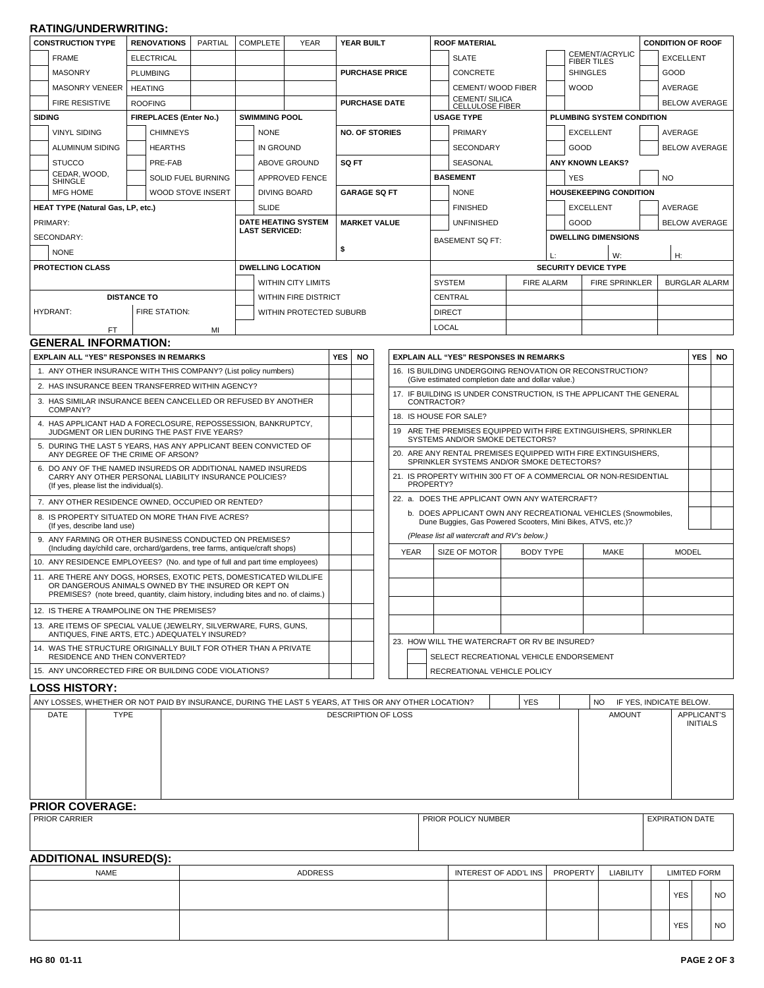## **RATING/UNDERWRITING:**

| <b>CONSTRUCTION TYPE</b><br><b>RENOVATIONS</b><br>PARTIAL                                                                                                                                                         |                                                                                                               | <b>COMPLETE</b><br><b>YEAR</b> |                                |                      | YEAR BUILT          |                       | <b>ROOF MATERIAL</b>       |                      |                                                                                                                                                                               |                                                                                                  |                                                          | <b>CONDITION OF ROOF</b>                                                                 |                           |                    |                                                                  |                      |                      |                 |    |  |                    |  |  |  |  |
|-------------------------------------------------------------------------------------------------------------------------------------------------------------------------------------------------------------------|---------------------------------------------------------------------------------------------------------------|--------------------------------|--------------------------------|----------------------|---------------------|-----------------------|----------------------------|----------------------|-------------------------------------------------------------------------------------------------------------------------------------------------------------------------------|--------------------------------------------------------------------------------------------------|----------------------------------------------------------|------------------------------------------------------------------------------------------|---------------------------|--------------------|------------------------------------------------------------------|----------------------|----------------------|-----------------|----|--|--------------------|--|--|--|--|
|                                                                                                                                                                                                                   | <b>FRAME</b>                                                                                                  |                                |                                |                      |                     |                       |                            |                      |                                                                                                                                                                               |                                                                                                  |                                                          | <b>SLATE</b>                                                                             |                           |                    | CEMENT/ACRYLIC                                                   |                      | <b>EXCELLENT</b>     |                 |    |  |                    |  |  |  |  |
|                                                                                                                                                                                                                   |                                                                                                               | <b>ELECTRICAL</b>              |                                |                      |                     |                       |                            |                      |                                                                                                                                                                               |                                                                                                  |                                                          |                                                                                          |                           |                    |                                                                  |                      |                      |                 |    |  | <b>FIBER TILES</b> |  |  |  |  |
|                                                                                                                                                                                                                   | <b>MASONRY</b>                                                                                                | <b>PLUMBING</b>                |                                |                      |                     |                       |                            |                      | <b>PURCHASE PRICE</b>                                                                                                                                                         |                                                                                                  | <b>CONCRETE</b>                                          |                                                                                          |                           | <b>SHINGLES</b>    |                                                                  | GOOD                 |                      |                 |    |  |                    |  |  |  |  |
|                                                                                                                                                                                                                   | <b>MASONRY VENEER</b>                                                                                         |                                | <b>HEATING</b>                 |                      |                     |                       |                            |                      |                                                                                                                                                                               |                                                                                                  |                                                          | CEMENT/WOOD FIBER<br><b>CEMENT/SILICA</b>                                                |                           |                    | <b>WOOD</b>                                                      |                      | AVERAGE              |                 |    |  |                    |  |  |  |  |
|                                                                                                                                                                                                                   | <b>FIRE RESISTIVE</b>                                                                                         | <b>ROOFING</b>                 |                                |                      |                     |                       |                            | <b>PURCHASE DATE</b> |                                                                                                                                                                               |                                                                                                  | <b>CELLULOSE FIBER</b>                                   |                                                                                          |                           |                    | <b>BELOW AVERAGE</b>                                             |                      |                      |                 |    |  |                    |  |  |  |  |
| <b>SIDING</b>                                                                                                                                                                                                     |                                                                                                               | <b>FIREPLACES (Enter No.)</b>  |                                | <b>SWIMMING POOL</b> |                     |                       |                            |                      |                                                                                                                                                                               | <b>USAGE TYPE</b>                                                                                |                                                          |                                                                                          | PLUMBING SYSTEM CONDITION |                    |                                                                  |                      |                      |                 |    |  |                    |  |  |  |  |
|                                                                                                                                                                                                                   | <b>VINYL SIDING</b>                                                                                           |                                | <b>CHIMNEYS</b>                |                      |                     | <b>NONE</b>           |                            |                      | <b>NO. OF STORIES</b>                                                                                                                                                         |                                                                                                  |                                                          | <b>PRIMARY</b>                                                                           |                           |                    | <b>EXCELLENT</b>                                                 | AVERAGE              |                      |                 |    |  |                    |  |  |  |  |
|                                                                                                                                                                                                                   | ALUMINUM SIDING                                                                                               |                                | <b>HEARTHS</b>                 |                      |                     | IN GROUND             |                            |                      |                                                                                                                                                                               |                                                                                                  |                                                          | <b>SECONDARY</b>                                                                         |                           |                    | GOOD                                                             | <b>BELOW AVERAGE</b> |                      |                 |    |  |                    |  |  |  |  |
|                                                                                                                                                                                                                   | <b>STUCCO</b>                                                                                                 |                                | PRE-FAB<br><b>ABOVE GROUND</b> |                      |                     | SQ FT                 |                            |                      | SEASONAL                                                                                                                                                                      |                                                                                                  |                                                          | <b>ANY KNOWN LEAKS?</b>                                                                  |                           |                    |                                                                  |                      |                      |                 |    |  |                    |  |  |  |  |
|                                                                                                                                                                                                                   | CEDAR, WOOD,<br><b>SHINGLE</b>                                                                                | SOLID FUEL BURNING             |                                |                      | APPROVED FENCE      |                       |                            |                      |                                                                                                                                                                               | <b>BASEMENT</b>                                                                                  |                                                          |                                                                                          | <b>YES</b>                |                    |                                                                  |                      | <b>NO</b>            |                 |    |  |                    |  |  |  |  |
|                                                                                                                                                                                                                   | <b>MFG HOME</b>                                                                                               |                                | WOOD STOVE INSERT              |                      | <b>DIVING BOARD</b> |                       |                            |                      | <b>GARAGE SQ FT</b>                                                                                                                                                           |                                                                                                  |                                                          | <b>NONE</b>                                                                              |                           |                    | <b>HOUSEKEEPING CONDITION</b>                                    |                      |                      |                 |    |  |                    |  |  |  |  |
| HEAT TYPE (Natural Gas, LP, etc.)                                                                                                                                                                                 |                                                                                                               |                                |                                | <b>SLIDE</b>         |                     |                       |                            |                      |                                                                                                                                                                               |                                                                                                  | <b>FINISHED</b>                                          |                                                                                          | <b>EXCELLENT</b>          |                    | AVERAGE                                                          |                      |                      |                 |    |  |                    |  |  |  |  |
|                                                                                                                                                                                                                   | PRIMARY:                                                                                                      |                                |                                |                      |                     |                       | <b>DATE HEATING SYSTEM</b> |                      | <b>MARKET VALUE</b>                                                                                                                                                           |                                                                                                  |                                                          | <b>UNFINISHED</b>                                                                        |                           |                    | GOOD                                                             |                      | <b>BELOW AVERAGE</b> |                 |    |  |                    |  |  |  |  |
|                                                                                                                                                                                                                   | SECONDARY:                                                                                                    |                                |                                |                      |                     | <b>LAST SERVICED:</b> |                            |                      |                                                                                                                                                                               |                                                                                                  |                                                          | <b>BASEMENT SQ FT:</b>                                                                   |                           |                    | <b>DWELLING DIMENSIONS</b>                                       |                      |                      |                 |    |  |                    |  |  |  |  |
|                                                                                                                                                                                                                   | <b>NONE</b>                                                                                                   |                                |                                |                      |                     |                       |                            | \$                   |                                                                                                                                                                               |                                                                                                  |                                                          |                                                                                          |                           |                    | W:                                                               |                      | H:                   |                 |    |  |                    |  |  |  |  |
|                                                                                                                                                                                                                   | <b>PROTECTION CLASS</b>                                                                                       |                                |                                |                      |                     |                       | <b>DWELLING LOCATION</b>   |                      |                                                                                                                                                                               |                                                                                                  |                                                          |                                                                                          |                           |                    | <b>SECURITY DEVICE TYPE</b>                                      |                      |                      |                 |    |  |                    |  |  |  |  |
|                                                                                                                                                                                                                   |                                                                                                               |                                |                                |                      |                     |                       | <b>WITHIN CITY LIMITS</b>  |                      |                                                                                                                                                                               |                                                                                                  |                                                          | <b>SYSTEM</b>                                                                            | <b>FIRE ALARM</b>         |                    | <b>FIRE SPRINKLER</b>                                            |                      | <b>BURGLAR ALARM</b> |                 |    |  |                    |  |  |  |  |
|                                                                                                                                                                                                                   | <b>DISTANCE TO</b>                                                                                            |                                |                                |                      |                     |                       | WITHIN FIRE DISTRICT       |                      |                                                                                                                                                                               |                                                                                                  |                                                          | CENTRAL                                                                                  |                           |                    |                                                                  |                      |                      |                 |    |  |                    |  |  |  |  |
|                                                                                                                                                                                                                   | <b>HYDRANT:</b>                                                                                               |                                | FIRE STATION:                  |                      |                     |                       | WITHIN PROTECTED SUBURB    |                      |                                                                                                                                                                               |                                                                                                  |                                                          | <b>DIRECT</b>                                                                            |                           |                    |                                                                  |                      |                      |                 |    |  |                    |  |  |  |  |
|                                                                                                                                                                                                                   |                                                                                                               |                                |                                |                      |                     |                       |                            |                      |                                                                                                                                                                               |                                                                                                  |                                                          | <b>LOCAL</b>                                                                             |                           |                    |                                                                  |                      |                      |                 |    |  |                    |  |  |  |  |
|                                                                                                                                                                                                                   | FT.<br><b>GENERAL INFORMATION:</b>                                                                            |                                |                                | MI                   |                     |                       |                            |                      |                                                                                                                                                                               |                                                                                                  |                                                          |                                                                                          |                           |                    |                                                                  |                      |                      |                 |    |  |                    |  |  |  |  |
|                                                                                                                                                                                                                   | <b>EXPLAIN ALL "YES" RESPONSES IN REMARKS</b>                                                                 |                                |                                |                      |                     |                       |                            | <b>YES</b>           | <b>NO</b>                                                                                                                                                                     |                                                                                                  |                                                          | <b>EXPLAIN ALL "YES" RESPONSES IN REMARKS</b>                                            |                           |                    |                                                                  |                      |                      | <b>YES</b>      | NO |  |                    |  |  |  |  |
|                                                                                                                                                                                                                   | 1. ANY OTHER INSURANCE WITH THIS COMPANY? (List policy numbers)                                               |                                |                                |                      |                     |                       |                            |                      |                                                                                                                                                                               |                                                                                                  | 16. IS BUILDING UNDERGOING RENOVATION OR RECONSTRUCTION? |                                                                                          |                           |                    |                                                                  |                      |                      |                 |    |  |                    |  |  |  |  |
|                                                                                                                                                                                                                   | 2. HAS INSURANCE BEEN TRANSFERRED WITHIN AGENCY?                                                              |                                |                                |                      |                     |                       |                            |                      |                                                                                                                                                                               | (Give estimated completion date and dollar value.)                                               |                                                          |                                                                                          |                           |                    |                                                                  |                      |                      |                 |    |  |                    |  |  |  |  |
|                                                                                                                                                                                                                   | 3. HAS SIMILAR INSURANCE BEEN CANCELLED OR REFUSED BY ANOTHER                                                 |                                |                                |                      |                     |                       |                            |                      |                                                                                                                                                                               | 17. IF BUILDING IS UNDER CONSTRUCTION, IS THE APPLICANT THE GENERAL<br>CONTRACTOR?               |                                                          |                                                                                          |                           |                    |                                                                  |                      |                      |                 |    |  |                    |  |  |  |  |
|                                                                                                                                                                                                                   | COMPANY?                                                                                                      |                                |                                |                      |                     |                       |                            |                      |                                                                                                                                                                               | 18. IS HOUSE FOR SALE?                                                                           |                                                          |                                                                                          |                           |                    |                                                                  |                      |                      |                 |    |  |                    |  |  |  |  |
|                                                                                                                                                                                                                   | 4. HAS APPLICANT HAD A FORECLOSURE, REPOSSESSION, BANKRUPTCY,<br>JUDGMENT OR LIEN DURING THE PAST FIVE YEARS? |                                |                                |                      |                     |                       |                            |                      |                                                                                                                                                                               | 19 ARE THE PREMISES EQUIPPED WITH FIRE EXTINGUISHERS, SPRINKLER                                  |                                                          |                                                                                          |                           |                    |                                                                  |                      |                      |                 |    |  |                    |  |  |  |  |
|                                                                                                                                                                                                                   | 5. DURING THE LAST 5 YEARS, HAS ANY APPLICANT BEEN CONVICTED OF<br>ANY DEGREE OF THE CRIME OF ARSON?          |                                |                                |                      |                     |                       |                            |                      |                                                                                                                                                                               | SYSTEMS AND/OR SMOKE DETECTORS?<br>20. ARE ANY RENTAL PREMISES EQUIPPED WITH FIRE EXTINGUISHERS, |                                                          |                                                                                          |                           |                    |                                                                  |                      |                      |                 |    |  |                    |  |  |  |  |
|                                                                                                                                                                                                                   | 6. DO ANY OF THE NAMED INSUREDS OR ADDITIONAL NAMED INSUREDS                                                  |                                |                                |                      |                     |                       |                            |                      |                                                                                                                                                                               | SPRINKLER SYSTEMS AND/OR SMOKE DETECTORS?                                                        |                                                          |                                                                                          |                           |                    |                                                                  |                      |                      |                 |    |  |                    |  |  |  |  |
|                                                                                                                                                                                                                   | CARRY ANY OTHER PERSONAL LIABILITY INSURANCE POLICIES?<br>(If yes, please list the individual(s).             |                                |                                |                      |                     |                       |                            |                      |                                                                                                                                                                               |                                                                                                  | PROPERTY?                                                |                                                                                          |                           |                    | 21. IS PROPERTY WITHIN 300 FT OF A COMMERCIAL OR NON-RESIDENTIAL |                      |                      |                 |    |  |                    |  |  |  |  |
|                                                                                                                                                                                                                   | 7. ANY OTHER RESIDENCE OWNED, OCCUPIED OR RENTED?                                                             |                                |                                |                      |                     |                       |                            |                      |                                                                                                                                                                               | 22. a. DOES THE APPLICANT OWN ANY WATERCRAFT?                                                    |                                                          |                                                                                          |                           |                    |                                                                  |                      |                      |                 |    |  |                    |  |  |  |  |
| 8. IS PROPERTY SITUATED ON MORE THAN FIVE ACRES?<br>(If yes, describe land use)                                                                                                                                   |                                                                                                               |                                |                                |                      |                     |                       |                            |                      | b. DOES APPLICANT OWN ANY RECREATIONAL VEHICLES (Snowmobiles,<br>Dune Buggies, Gas Powered Scooters, Mini Bikes, ATVS, etc.)?<br>(Please list all watercraft and RV's below.) |                                                                                                  |                                                          |                                                                                          |                           |                    |                                                                  |                      |                      |                 |    |  |                    |  |  |  |  |
| 9. ANY FARMING OR OTHER BUSINESS CONDUCTED ON PREMISES?<br>(Including day/child care, orchard/gardens, tree farms, antique/craft shops)                                                                           |                                                                                                               |                                |                                |                      |                     |                       |                            |                      |                                                                                                                                                                               | <b>YEAR</b>                                                                                      |                                                          | SIZE OF MOTOR                                                                            | <b>BODY TYPE</b>          |                    | MAKE                                                             |                      | <b>MODEL</b>         |                 |    |  |                    |  |  |  |  |
| 10. ANY RESIDENCE EMPLOYEES? (No. and type of full and part time employees)                                                                                                                                       |                                                                                                               |                                |                                |                      |                     |                       |                            |                      |                                                                                                                                                                               |                                                                                                  |                                                          |                                                                                          |                           |                    |                                                                  |                      |                      |                 |    |  |                    |  |  |  |  |
| 11. ARE THERE ANY DOGS, HORSES, EXOTIC PETS, DOMESTICATED WILDLIFE<br>OR DANGEROUS ANIMALS OWNED BY THE INSURED OR KEPT ON<br>PREMISES? (note breed, quantity, claim history, including bites and no. of claims.) |                                                                                                               |                                |                                |                      |                     |                       |                            |                      |                                                                                                                                                                               |                                                                                                  |                                                          |                                                                                          |                           |                    |                                                                  |                      |                      |                 |    |  |                    |  |  |  |  |
| 12. IS THERE A TRAMPOLINE ON THE PREMISES?                                                                                                                                                                        |                                                                                                               |                                |                                |                      |                     |                       |                            |                      |                                                                                                                                                                               |                                                                                                  |                                                          |                                                                                          |                           |                    |                                                                  |                      |                      |                 |    |  |                    |  |  |  |  |
| 13. ARE ITEMS OF SPECIAL VALUE (JEWELRY, SILVERWARE, FURS, GUNS,<br>ANTIQUES, FINE ARTS, ETC.) ADEQUATELY INSURED?                                                                                                |                                                                                                               |                                |                                |                      |                     |                       |                            |                      |                                                                                                                                                                               |                                                                                                  |                                                          |                                                                                          |                           |                    |                                                                  |                      |                      |                 |    |  |                    |  |  |  |  |
|                                                                                                                                                                                                                   | 14. WAS THE STRUCTURE ORIGINALLY BUILT FOR OTHER THAN A PRIVATE<br>RESIDENCE AND THEN CONVERTED?              |                                |                                |                      |                     |                       |                            |                      |                                                                                                                                                                               |                                                                                                  |                                                          | 23. HOW WILL THE WATERCRAFT OR RV BE INSURED?<br>SELECT RECREATIONAL VEHICLE ENDORSEMENT |                           |                    |                                                                  |                      |                      |                 |    |  |                    |  |  |  |  |
|                                                                                                                                                                                                                   | 15. ANY UNCORRECTED FIRE OR BUILDING CODE VIOLATIONS?                                                         |                                |                                |                      |                     |                       |                            |                      |                                                                                                                                                                               |                                                                                                  |                                                          | RECREATIONAL VEHICLE POLICY                                                              |                           |                    |                                                                  |                      |                      |                 |    |  |                    |  |  |  |  |
| <b>LOSS HISTORY:</b>                                                                                                                                                                                              |                                                                                                               |                                |                                |                      |                     |                       |                            |                      |                                                                                                                                                                               |                                                                                                  |                                                          |                                                                                          |                           |                    |                                                                  |                      |                      |                 |    |  |                    |  |  |  |  |
| ANY LOSSES, WHETHER OR NOT PAID BY INSURANCE, DURING THE LAST 5 YEARS, AT THIS OR ANY OTHER LOCATION?<br><b>YES</b><br>NO.<br>IF YES, INDICATE BELOW.                                                             |                                                                                                               |                                |                                |                      |                     |                       |                            |                      |                                                                                                                                                                               |                                                                                                  |                                                          |                                                                                          |                           |                    |                                                                  |                      |                      |                 |    |  |                    |  |  |  |  |
| <b>TYPE</b><br>DATE                                                                                                                                                                                               |                                                                                                               |                                |                                |                      |                     |                       | DESCRIPTION OF LOSS        |                      |                                                                                                                                                                               |                                                                                                  | <b>AMOUNT</b>                                            |                                                                                          |                           | <b>APPLICANT'S</b> |                                                                  |                      |                      |                 |    |  |                    |  |  |  |  |
|                                                                                                                                                                                                                   |                                                                                                               |                                |                                |                      |                     |                       |                            |                      |                                                                                                                                                                               |                                                                                                  |                                                          |                                                                                          |                           |                    |                                                                  |                      |                      | <b>INITIALS</b> |    |  |                    |  |  |  |  |
|                                                                                                                                                                                                                   |                                                                                                               |                                |                                |                      |                     |                       |                            |                      |                                                                                                                                                                               |                                                                                                  |                                                          |                                                                                          |                           |                    |                                                                  |                      |                      |                 |    |  |                    |  |  |  |  |
|                                                                                                                                                                                                                   |                                                                                                               |                                |                                |                      |                     |                       |                            |                      |                                                                                                                                                                               |                                                                                                  |                                                          |                                                                                          |                           |                    |                                                                  |                      |                      |                 |    |  |                    |  |  |  |  |
|                                                                                                                                                                                                                   |                                                                                                               |                                |                                |                      |                     |                       |                            |                      |                                                                                                                                                                               |                                                                                                  |                                                          |                                                                                          |                           |                    |                                                                  |                      |                      |                 |    |  |                    |  |  |  |  |
|                                                                                                                                                                                                                   |                                                                                                               |                                |                                |                      |                     |                       |                            |                      |                                                                                                                                                                               |                                                                                                  |                                                          |                                                                                          |                           |                    |                                                                  |                      |                      |                 |    |  |                    |  |  |  |  |
|                                                                                                                                                                                                                   |                                                                                                               |                                |                                |                      |                     |                       |                            |                      |                                                                                                                                                                               |                                                                                                  |                                                          |                                                                                          |                           |                    |                                                                  |                      |                      |                 |    |  |                    |  |  |  |  |
|                                                                                                                                                                                                                   | <b>PRIOR COVERAGE:</b><br>PRIOR CARRIER                                                                       |                                |                                |                      |                     |                       |                            | PRIOR POLICY NUMBER  |                                                                                                                                                                               |                                                                                                  |                                                          |                                                                                          | <b>EXPIRATION DATE</b>    |                    |                                                                  |                      |                      |                 |    |  |                    |  |  |  |  |
|                                                                                                                                                                                                                   |                                                                                                               |                                |                                |                      |                     |                       |                            |                      |                                                                                                                                                                               |                                                                                                  |                                                          |                                                                                          |                           |                    |                                                                  |                      |                      |                 |    |  |                    |  |  |  |  |

## **ADDITIONAL INSURED(S):**

| <b>NAME</b> | ADDRESS | INTEREST OF ADD'L INS   PROPERTY | <b>LIABILITY</b> | <b>LIMITED FORM</b> |      |
|-------------|---------|----------------------------------|------------------|---------------------|------|
|             |         |                                  |                  | YES I               | I NO |
|             |         |                                  |                  | <b>YES</b>          | I NO |